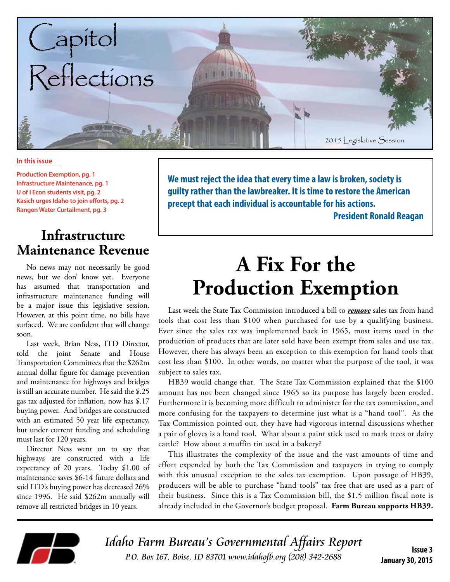

#### **In this issue**

**Production Exemption, pg. 1 Infrastructure Maintenance, pg. 1 U of I Econ students visit, pg. 2 Kasich urges Idaho to join efforts, pg. 2 Rangen Water Curtailment, pg. 3**

#### **Infrastructure Maintenance Revenue**

No news may not necessarily be good news, but we don' know yet. Everyone has assumed that transportation and infrastructure maintenance funding will be a major issue this legislative session. However, at this point time, no bills have surfaced. We are confident that will change soon.

Last week, Brian Ness, ITD Director, told the joint Senate and House Transportation Committees that the \$262m annual dollar figure for damage prevention and maintenance for highways and bridges is still an accurate number. He said the \$.25 gas tax adjusted for inflation, now has \$.17 buying power. And bridges are constructed with an estimated 50 year life expectancy, but under current funding and scheduling must last for 120 years.

Director Ness went on to say that highways are constructed with a life expectancy of 20 years. Today \$1.00 of maintenance saves \$6-14 future dollars and said ITD's buying power has decreased 26% since 1996. He said \$262m annually will remove all restricted bridges in 10 years.

**We must reject the idea that every time a law is broken, society is guilty rather than the lawbreaker. It is time to restore the American precept that each individual is accountable for his actions. President Ronald Reagan**

# **A Fix For the Production Exemption**

Last week the State Tax Commission introduced a bill to *remove* sales tax from hand tools that cost less than \$100 when purchased for use by a qualifying business. Ever since the sales tax was implemented back in 1965, most items used in the production of products that are later sold have been exempt from sales and use tax. However, there has always been an exception to this exemption for hand tools that cost less than \$100. In other words, no matter what the purpose of the tool, it was subject to sales tax.

HB39 would change that. The State Tax Commission explained that the \$100 amount has not been changed since 1965 so its purpose has largely been eroded. Furthermore it is becoming more difficult to administer for the tax commission, and more confusing for the taxpayers to determine just what is a "hand tool". As the Tax Commission pointed out, they have had vigorous internal discussions whether a pair of gloves is a hand tool. What about a paint stick used to mark trees or dairy cattle? How about a muffin tin used in a bakery?

This illustrates the complexity of the issue and the vast amounts of time and effort expended by both the Tax Commission and taxpayers in trying to comply with this unusual exception to the sales tax exemption. Upon passage of HB39, producers will be able to purchase "hand tools" tax free that are used as a part of their business. Since this is a Tax Commission bill, the \$1.5 million fiscal note is already included in the Governor's budget proposal. **Farm Bureau supports HB39.**



Idaho Farm Bureau's Governmental Affairs Report P.O. Box 167, Boise, ID 83701 www.idahofb.org (208) 342-2688 **Issue 3**

**January 30, 2015**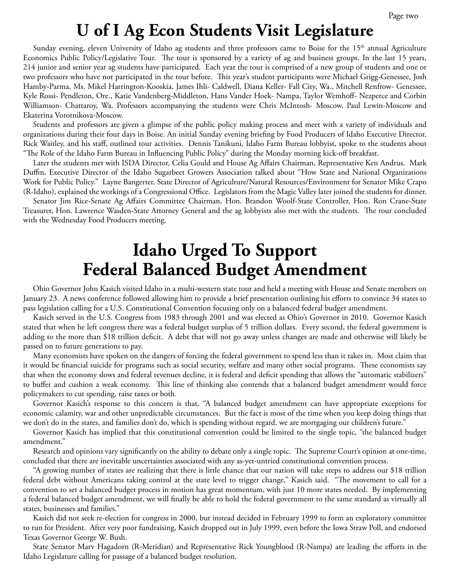## **U of I Ag Econ Students Visit Legislature**

Sunday evening, eleven University of Idaho ag students and three professors came to Boise for the 15<sup>th</sup> annual Agriculture Economics Public Policy/Legislative Tour. The tour is sponsored by a variety of ag and business groups. In the last 15 years, 214 junior and senior year ag students have participated. Each year the tour is comprised of a new group of students and one or two professors who have not participated in the tour before. This year's student participants were Michael Grigg-Genessee, Josh Hamby-Parma, Ms. Mikel Harrington-Kooskia, James Ihli- Caldwell, Diana Keller- Fall City, Wa., Mitchell Renfrow- Genessee, Kyle Rossi- Pendleton, Ore., Katie Vandenberg-Middleton, Hans Vander Hoek- Nampa, Taylor Wemhoff- Nezperce and Corbin Williamson- Chattaroy, Wa. Professors accompanying the students were Chris McIntosh- Moscow, Paul Lewin-Moscow and Ekaterina Vorotnikova-Moscow.

Students and professors are given a glimpse of the public policy making process and meet with a variety of individuals and organizations during their four days in Boise. An initial Sunday evening briefing by Food Producers of Idaho Executive Director, Rick Waitley, and his staff, outlined tour activities. Dennis Tanikuni, Idaho Farm Bureau lobbyist, spoke to the students about "The Role of the Idaho Farm Bureau in Influencing Public Policy" during the Monday morning kick-off breakfast.

Later the students met with ISDA Director, Celia Gould and House Ag Affairs Chairman, Representative Ken Andrus. Mark Duffin, Executive Director of the Idaho Sugarbeet Growers Association talked about "How State and National Organizations Work for Public Policy." Layne Bangerter, State Director of Agriculture/Natural Resources/Environment for Senator Mike Crapo (R-Idaho), explained the workings of a Congressional Office. Legislators from the Magic Valley later joined the students for dinner.

Senator Jim Rice-Senate Ag Affairs Committee Chairman, Hon. Brandon Woolf-State Controller, Hon. Ron Crane-State Treasurer, Hon. Lawrence Wasden-State Attorney General and the ag lobbyists also met with the students. The tour concluded with the Wednesday Food Producers meeting.

### **Idaho Urged To Support Federal Balanced Budget Amendment**

Ohio Governor John Kasich visited Idaho in a multi-western state tour and held a meeting with House and Senate members on January 23. A news conference followed allowing him to provide a brief presentation outlining his efforts to convince 34 states to pass legislation calling for a U.S. Constitutional Convention focusing only on a balanced federal budget amendment.

Kasich served in the U.S. Congress from 1983 through 2001 and was elected as Ohio's Governor in 2010. Governor Kasich stated that when he left congress there was a federal budget surplus of 5 trillion dollars. Every second, the federal government is adding to the more than \$18 trillion deficit. A debt that will not go away unless changes are made and otherwise will likely be passed on to future generations to pay.

Many economists have spoken on the dangers of forcing the federal government to spend less than it takes in. Most claim that it would be financial suicide for programs such as social security, welfare and many other social programs. These economists say that when the economy slows and federal revenues decline, it is federal and deficit spending that allows the "automatic stabilizers" to buffer and cushion a weak economy. This line of thinking also contends that a balanced budget amendment would force policymakers to cut spending, raise taxes or both.

Governor Kasich's response to this concern is that, "A balanced budget amendment can have appropriate exceptions for economic calamity, war and other unpredictable circumstances. But the fact is most of the time when you keep doing things that we don't do in the states, and families don't do, which is spending without regard, we are mortgaging our children's future."

Governor Kasich has implied that this constitutional convention could be limited to the single topic, "the balanced budget amendment."

Research and opinions vary significantly on the ability to debate only a single topic. The Supreme Court's opinion at one-time, concluded that there are inevitable uncertainties associated with any as-yet-untried constitutional convention process.

"A growing number of states are realizing that there is little chance that our nation will take steps to address our \$18 trillion federal debt without Americans taking control at the state level to trigger change," Kasich said. "The movement to call for a convention to set a balanced budget process in motion has great momentum, with just 10 more states needed. By implementing a federal balanced budget amendment, we will finally be able to hold the federal government to the same standard as virtually all states, businesses and families."

Kasich did not seek re-election for congress in 2000, but instead decided in February 1999 to form an exploratory committee to run for President. After very poor fundraising, Kasich dropped out in July 1999, even before the Iowa Straw Poll, and endorsed Texas Governor George W. Bush.

State Senator Marv Hagadorn (R-Meridian) and Representative Rick Youngblood (R-Nampa) are leading the efforts in the Idaho Legislature calling for passage of a balanced budget resolution.